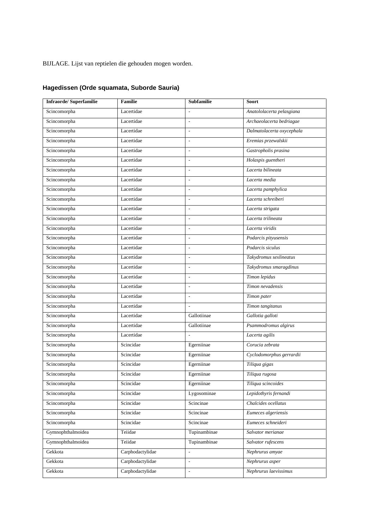BIJLAGE. Lijst van reptielen die gehouden mogen worden.

| Infraorde/Superfamilie | <b>Familie</b>   | <b>Subfamilie</b>        | <b>Soort</b>              |
|------------------------|------------------|--------------------------|---------------------------|
| Scincomorpha           | Lacertidae       | $\overline{\phantom{a}}$ | Anatololacerta pelasgiana |
| Scincomorpha           | Lacertidae       | $\overline{\phantom{a}}$ | Archaeolacerta bedriagae  |
| Scincomorpha           | Lacertidae       | $\overline{\phantom{a}}$ | Dalmatolacerta oxycephala |
| Scincomorpha           | Lacertidae       | $\overline{\phantom{a}}$ | Eremias przewalskii       |
| Scincomorpha           | Lacertidae       | $\overline{\phantom{a}}$ | Gastropholis prasina      |
| Scincomorpha           | Lacertidae       | $\overline{\phantom{a}}$ | Holaspis guentheri        |
| Scincomorpha           | Lacertidae       | $\overline{\phantom{a}}$ | Lacerta bilineata         |
| Scincomorpha           | Lacertidae       | $\overline{\phantom{a}}$ | Lacerta media             |
| Scincomorpha           | Lacertidae       | $\overline{a}$           | Lacerta pamphylica        |
| Scincomorpha           | Lacertidae       | $\overline{\phantom{a}}$ | Lacerta schreiberi        |
| Scincomorpha           | Lacertidae       | $\overline{\phantom{a}}$ | Lacerta strigata          |
| Scincomorpha           | Lacertidae       | $\overline{\phantom{a}}$ | Lacerta trilineata        |
| Scincomorpha           | Lacertidae       | $\sim$                   | Lacerta viridis           |
| Scincomorpha           | Lacertidae       | $\overline{\phantom{a}}$ | Podarcis pityusensis      |
| Scincomorpha           | Lacertidae       | ÷,                       | Podarcis siculus          |
| Scincomorpha           | Lacertidae       | $\overline{\phantom{a}}$ | Takydromus sexlineatus    |
| Scincomorpha           | Lacertidae       | $\overline{\phantom{a}}$ | Takydromus smaragdinus    |
| Scincomorpha           | Lacertidae       | $\overline{\phantom{a}}$ | Timon lepidus             |
| Scincomorpha           | Lacertidae       | $\overline{\phantom{a}}$ | Timon nevadensis          |
| Scincomorpha           | Lacertidae       | $\overline{\phantom{a}}$ | Timon pater               |
| Scincomorpha           | Lacertidae       | $\overline{a}$           | Timon tangitanus          |
| Scincomorpha           | Lacertidae       | Gallotiinae              | Gallotia galloti          |
| Scincomorpha           | Lacertidae       | Gallotiinae              | Psammodromus algirus      |
| Scincomorpha           | Lacertidae       | $\overline{a}$           | Lacerta agilis            |
| Scincomorpha           | Scincidae        | Egerniinae               | Corucia zebrata           |
| Scincomorpha           | Scincidae        | Egerniinae               | Cyclodomorphus gerrardii  |
| Scincomorpha           | Scincidae        | Egerniinae               | Tiliqua gigas             |
| Scincomorpha           | Scincidae        | Egerniinae               | Tiliqua rugosa            |
| Scincomorpha           | Scincidae        | Egerniinae               | Tiliqua scincoides        |
| Scincomorpha           | Scincidae        | Lygosominae              | Lepidothyris fernandi     |
| Scincomorpha           | Scincidae        | Scincinae                | Chalcides ocellatus       |
| Scincomorpha           | Scincidae        | Scincinae                | Eumeces algeriensis       |
| Scincomorpha           | Scincidae        | Scincinae                | Eumeces schneideri        |
| Gymnophthalmoidea      | Teiidae          | Tupinambinae             | Salvator merianae         |
| Gymnophthalmoidea      | Teiidae          | Tupinambinae             | Salvator rufescens        |
| Gekkota                | Carphodactylidae | ä,                       | Nephrurus amyae           |
| Gekkota                | Carphodactylidae | $\overline{\phantom{a}}$ | Nephrurus asper           |
| Gekkota                | Carphodactylidae | $\overline{\phantom{a}}$ | Nephrurus laevissimus     |

# **Hagedissen (Orde squamata, Suborde Sauria)**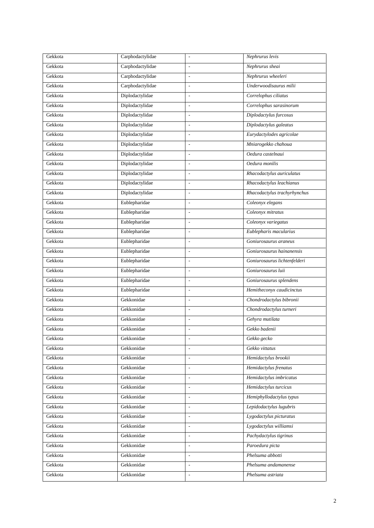| Gekkota | Carphodactylidae | $\overline{\phantom{a}}$ | Nephrurus levis              |
|---------|------------------|--------------------------|------------------------------|
| Gekkota | Carphodactylidae | $\frac{1}{2}$            | Nephrurus sheai              |
| Gekkota | Carphodactylidae | $\frac{1}{2}$            | Nephrurus wheeleri           |
| Gekkota | Carphodactylidae | $\overline{\phantom{a}}$ | Underwoodisaurus milii       |
| Gekkota | Diplodactylidae  | $\bar{\phantom{a}}$      | Correlophus ciliatus         |
| Gekkota | Diplodactylidae  | $\overline{\phantom{a}}$ | Correlophus sarasinorum      |
| Gekkota | Diplodactylidae  | $\overline{\phantom{a}}$ | Diplodactylus furcosus       |
| Gekkota | Diplodactylidae  | $\overline{\phantom{0}}$ | Diplodactylus galeatus       |
| Gekkota | Diplodactylidae  | $\frac{1}{2}$            | Eurydactylodes agricolae     |
| Gekkota | Diplodactylidae  | $\overline{\phantom{a}}$ | Mniarogekko chahoua          |
| Gekkota | Diplodactylidae  | $\overline{\phantom{a}}$ | Oedura castelnaui            |
| Gekkota | Diplodactylidae  | $\overline{\phantom{a}}$ | Oedura monilis               |
| Gekkota | Diplodactylidae  | $\overline{\phantom{a}}$ | Rhacodactylus auriculatus    |
| Gekkota | Diplodactylidae  | $\frac{1}{2}$            | Rhacodactylus leachianus     |
| Gekkota | Diplodactylidae  | $\overline{\phantom{a}}$ | Rhacodactylus trachyrhynchus |
| Gekkota | Eublepharidae    | $\overline{\phantom{a}}$ | Coleonyx elegans             |
| Gekkota | Eublepharidae    | $\overline{a}$           | Coleonyx mitratus            |
| Gekkota | Eublepharidae    | $\overline{\phantom{a}}$ | Coleonyx variegatus          |
| Gekkota | Eublepharidae    | $\overline{\phantom{a}}$ | Eublepharis macularius       |
| Gekkota | Eublepharidae    | $\overline{\phantom{0}}$ | Goniurosaurus araneus        |
| Gekkota | Eublepharidae    | $\overline{\phantom{a}}$ | Goniurosaurus hainanensis    |
| Gekkota | Eublepharidae    | $\overline{\phantom{a}}$ | Goniurosaurus lichtenfelderi |
| Gekkota | Eublepharidae    | $\overline{\phantom{a}}$ | Goniurosaurus luii           |
| Gekkota | Eublepharidae    | $\overline{\phantom{a}}$ | Goniurosaurus splendens      |
| Gekkota | Eublepharidae    | $\overline{\phantom{a}}$ | Hemitheconyx caudicinctus    |
| Gekkota | Gekkonidae       | $\frac{1}{2}$            | Chondrodactylus bibronii     |
| Gekkota | Gekkonidae       | $\overline{\phantom{a}}$ | Chondrodactylus turneri      |
| Gekkota | Gekkonidae       | $\overline{\phantom{a}}$ | Gehyra mutilata              |
| Gekkota | Gekkonidae       | $\overline{a}$           | Gekko badenii                |
| Gekkota | Gekkonidae       | $\overline{\phantom{a}}$ | Gekko gecko                  |
| Gekkota | Gekkonidae       | $\overline{\phantom{a}}$ | Gekko vittatus               |
| Gekkota | Gekkonidae       | $\overline{\phantom{a}}$ | Hemidactylus brookii         |
| Gekkota | Gekkonidae       | $\overline{\phantom{a}}$ | Hemidactylus frenatus        |
| Gekkota | Gekkonidae       | $\overline{\phantom{a}}$ | Hemidactylus imbricatus      |
| Gekkota | Gekkonidae       | $\mathbb{L}$             | Hemidactylus turcicus        |
| Gekkota | Gekkonidae       | $\Box$                   | Hemiphyllodactylus typus     |
| Gekkota | Gekkonidae       | $\blacksquare$           | Lepidodactylus lugubris      |
| Gekkota | Gekkonidae       | $\mathcal{L}$            | Lygodactylus picturatus      |
| Gekkota | Gekkonidae       | $\Box$                   | Lygodactylus williamsi       |
| Gekkota | Gekkonidae       | $\overline{\phantom{a}}$ | Pachydactylus tigrinus       |
| Gekkota | Gekkonidae       | $\mathbb{L}$             | Paroedura picta              |
| Gekkota | Gekkonidae       | $\overline{\phantom{a}}$ | Phelsuma abbotti             |
| Gekkota | Gekkonidae       | $\overline{\phantom{a}}$ | Phelsuma andamanense         |
| Gekkota | Gekkonidae       | $\overline{\phantom{a}}$ | Phelsuma astriata            |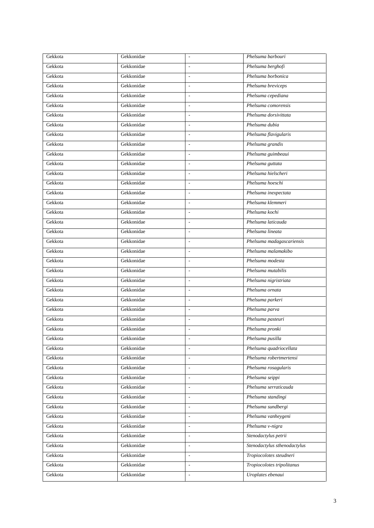| Gekkota | Gekkonidae | $\overline{\phantom{a}}$ | Phelsuma barbouri            |
|---------|------------|--------------------------|------------------------------|
| Gekkota | Gekkonidae | $\overline{\phantom{a}}$ | Phelsuma berghofi            |
| Gekkota | Gekkonidae | $\overline{\phantom{a}}$ | Phelsuma borbonica           |
| Gekkota | Gekkonidae | $\overline{a}$           | Phelsuma breviceps           |
| Gekkota | Gekkonidae | $\overline{\phantom{a}}$ | Phelsuma cepediana           |
| Gekkota | Gekkonidae | $\overline{\phantom{a}}$ | Phelsuma comorensis          |
| Gekkota | Gekkonidae | $\mathcal{L}$            | Phelsuma dorsivittata        |
| Gekkota | Gekkonidae | $\overline{\phantom{a}}$ | Phelsuma dubia               |
| Gekkota | Gekkonidae | $\overline{\phantom{a}}$ | Phelsuma flavigularis        |
| Gekkota | Gekkonidae | $\overline{\phantom{a}}$ | Phelsuma grandis             |
| Gekkota | Gekkonidae | $\overline{\phantom{a}}$ | Phelsuma guimbeaui           |
| Gekkota | Gekkonidae | $\overline{a}$           | Phelsuma guttata             |
| Gekkota | Gekkonidae | $\overline{\phantom{a}}$ | Phelsuma hielscheri          |
| Gekkota | Gekkonidae | $\overline{\phantom{a}}$ | Phelsuma hoeschi             |
| Gekkota | Gekkonidae | $\overline{\phantom{a}}$ | Phelsuma inexpectata         |
| Gekkota | Gekkonidae | $\overline{\phantom{a}}$ | Phelsuma klemmeri            |
| Gekkota | Gekkonidae | $\overline{\phantom{a}}$ | Phelsuma kochi               |
| Gekkota | Gekkonidae | $\overline{a}$           | Phelsuma laticauda           |
| Gekkota | Gekkonidae | $\frac{1}{2}$            | Phelsuma lineata             |
| Gekkota | Gekkonidae | $\blacksquare$           | Phelsuma madagascariensis    |
| Gekkota | Gekkonidae | $\overline{\phantom{a}}$ | Phelsuma malamakibo          |
| Gekkota | Gekkonidae | $\overline{a}$           | Phelsuma modesta             |
| Gekkota | Gekkonidae | $\overline{\phantom{a}}$ | Phelsuma mutabilis           |
| Gekkota | Gekkonidae | $\overline{\phantom{a}}$ | Phelsuma nigristriata        |
| Gekkota | Gekkonidae | $\overline{\phantom{a}}$ | Phelsuma ornata              |
| Gekkota | Gekkonidae | $\overline{\phantom{a}}$ | Phelsuma parkeri             |
| Gekkota | Gekkonidae | $\overline{\phantom{a}}$ | Phelsuma parva               |
| Gekkota | Gekkonidae | $\overline{\phantom{a}}$ | Phelsuma pasteuri            |
| Gekkota | Gekkonidae | $\overline{\phantom{a}}$ | Phelsuma pronki              |
| Gekkota | Gekkonidae | $\overline{\phantom{a}}$ | Phelsuma pusilla             |
| Gekkota | Gekkonidae | $\overline{\phantom{a}}$ | Phelsuma quadriocellata      |
| Gekkota | Gekkonidae | $\overline{\phantom{a}}$ | Phelsuma robertmertensi      |
| Gekkota | Gekkonidae | $\overline{a}$           | Phelsuma rosagularis         |
| Gekkota | Gekkonidae | $\Box$                   | Phelsuma seippi              |
| Gekkota | Gekkonidae | $\overline{\phantom{a}}$ | Phelsuma serraticauda        |
| Gekkota | Gekkonidae | $\overline{a}$           | Phelsuma standingi           |
| Gekkota | Gekkonidae | $\overline{\phantom{a}}$ | Phelsuma sundbergi           |
| Gekkota | Gekkonidae | $\overline{\phantom{a}}$ | Phelsuma vanheygeni          |
| Gekkota | Gekkonidae | $\blacksquare$           | Phelsuma v-nigra             |
| Gekkota | Gekkonidae | $\overline{\phantom{a}}$ | Stenodactylus petrii         |
| Gekkota | Gekkonidae | $\overline{\phantom{a}}$ | Stenodactylus sthenodactylus |
| Gekkota | Gekkonidae | $\bar{\phantom{a}}$      | Tropiocolotes steudneri      |
| Gekkota | Gekkonidae | $\Box$                   | Tropiocolotes tripolitanus   |
| Gekkota | Gekkonidae | $\overline{\phantom{a}}$ | Uroplates ebenaui            |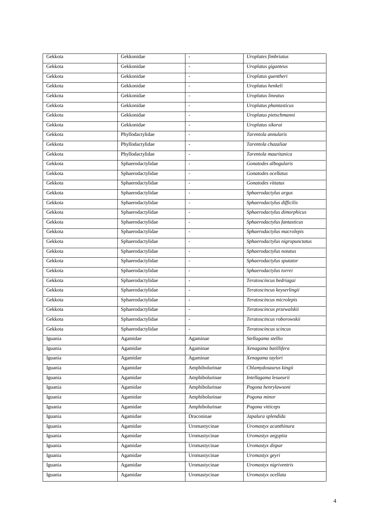| Gekkota | Gekkonidae        | $\overline{\phantom{a}}$ | Uroplates fimbriatus           |
|---------|-------------------|--------------------------|--------------------------------|
| Gekkota | Gekkonidae        | $\overline{\phantom{a}}$ | Uroplatus giganteus            |
| Gekkota | Gekkonidae        | $\frac{1}{2}$            | Uroplatus guentheri            |
| Gekkota | Gekkonidae        | $\sim$                   | Uroplatus henkeli              |
| Gekkota | Gekkonidae        | $\overline{\phantom{a}}$ | <b>Uroplatus</b> lineatus      |
| Gekkota | Gekkonidae        | $\overline{\phantom{a}}$ | Uroplatus phantasticus         |
| Gekkota | Gekkonidae        | $\sim$                   | Uroplatus pietschmanni         |
| Gekkota | Gekkonidae        | $\overline{\phantom{a}}$ | Uroplatus sikorai              |
| Gekkota | Phyllodactylidae  | $\overline{a}$           | Tarentola annularis            |
| Gekkota | Phyllodactylidae  | $\overline{\phantom{a}}$ | Tarentola chazaliae            |
| Gekkota | Phyllodactylidae  | $\overline{\phantom{a}}$ | Tarentola mauritanica          |
| Gekkota | Sphaerodactylidae | $\overline{\phantom{a}}$ | Gonatodes albogularis          |
| Gekkota | Sphaerodactylidae | $\overline{\phantom{a}}$ | Gonatodes ocellatus            |
| Gekkota | Sphaerodactylidae | $\overline{\phantom{a}}$ | Gonatodes vittatus             |
| Gekkota | Sphaerodactylidae | $\overline{a}$           | Sphaerodactylus argus          |
| Gekkota | Sphaerodactylidae | $\overline{\phantom{a}}$ | Sphaerodactylus difficilis     |
| Gekkota | Sphaerodactylidae | $\overline{\phantom{a}}$ | Sphaerodactylus dimorphicus    |
| Gekkota | Sphaerodactylidae | $\overline{\phantom{a}}$ | Sphaerodactylus fantasticus    |
| Gekkota | Sphaerodactylidae | $\overline{\phantom{a}}$ | Sphaerodactylus macrolepis     |
| Gekkota | Sphaerodactylidae | $\overline{\phantom{a}}$ | Sphaerodactylus nigropunctatus |
| Gekkota | Sphaerodactylidae | $\overline{\phantom{a}}$ | Sphaerodactylus notatus        |
| Gekkota | Sphaerodactylidae | $\overline{\phantom{a}}$ | Sphaerodactylus sputator       |
| Gekkota | Sphaerodactylidae | $\overline{\phantom{a}}$ | Sphaerodactylus torrei         |
| Gekkota | Sphaerodactylidae | $\frac{1}{2}$            | Teratoscincus bedriagai        |
| Gekkota | Sphaerodactylidae | $\overline{\phantom{a}}$ | Teratoscincus keyserlingii     |
| Gekkota | Sphaerodactylidae | $\overline{\phantom{a}}$ | Teratoscincus microlepis       |
| Gekkota | Sphaerodactylidae | $\frac{1}{2}$            | Teratoscincus przewalskii      |
| Gekkota | Sphaerodactylidae | $\overline{\phantom{a}}$ | Teratoscincus roborowskii      |
| Gekkota | Sphaerodactylidae | $\overline{\phantom{a}}$ | Teratoscincus scincus          |
| Iguania | Agamidae          | Agaminae                 | Stellagama stellio             |
| Iguania | Agamidae          | Agaminae                 | Xenagama batillifera           |
| Iguania | Agamidae          | Agaminae                 | Xenagama taylori               |
| Iguania | Agamidae          | Amphibolurinae           | Chlamydosaurus kingii          |
| Iguania | Agamidae          | Amphibolurinae           | Intellagama lesueurii          |
| Iguania | Agamidae          | Amphibolurinae           | Pogona henrylawsoni            |
| Iguania | Agamidae          | Amphibolurinae           | Pogona minor                   |
| Iguania | Agamidae          | Amphibolurinae           | Pogona vitticeps               |
| Iguania | Agamidae          | Draconinae               | Japalura splendida             |
| Iguania | Agamidae          | Uromastycinae            | Uromastyx acanthinura          |
| Iguania | Agamidae          | Uromastycinae            | Uromastyx aegyptia             |
| Iguania | Agamidae          | Uromastycinae            | Uromastyx dispar               |
| Iguania | Agamidae          | Uromastycinae            | Uromastyx geyri                |
| Iguania | Agamidae          | Uromastycinae            | Uromastyx nigriventris         |
| Iguania | Agamidae          | Uromastycinae            | Uromastyx ocellata             |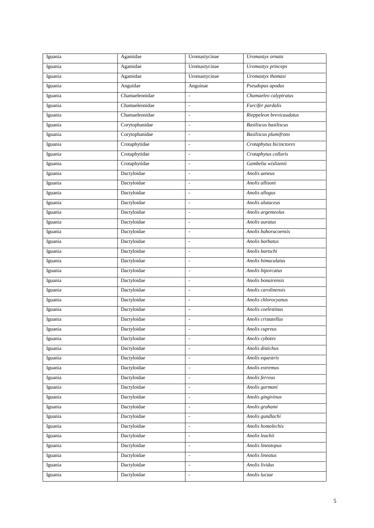| Iguania | Agamidae       | Uromastycinae            | Uromastyx ornata             |
|---------|----------------|--------------------------|------------------------------|
| Iguania | Agamidae       | Uromastycinae            | Uromastyx princeps           |
| Iguania | Agamidae       | Uromastycinae            | Uromastyx thomasi            |
| Iguania | Anguidae       | Anguinae                 | Pseudopus apodus             |
| Iguania | Chamaeleonidae | $\overline{a}$           | Chamaeleo calyptratus        |
| Iguania | Chamaeleonidae | $\overline{\phantom{a}}$ | Furcifer pardalis            |
| Iguania | Chamaeleonidae | $\overline{\phantom{a}}$ | Rieppeleon brevicaudatus     |
| Iguania | Corytophanidae | $\frac{1}{2}$            | Basiliscus basiliscus        |
| Iguania | Corytophanidae | $\overline{\phantom{a}}$ | <b>Basiliscus</b> plumifrons |
| Iguania | Crotaphytidae  | $\Box$                   | Crotaphytus bicinctores      |
| Iguania | Crotaphytidae  | $\overline{\phantom{a}}$ | Crotaphytus collaris         |
| Iguania | Crotaphytidae  | $\overline{\phantom{a}}$ | Gambelia wislizenii          |
| Iguania | Dactyloidae    | $\blacksquare$           | Anolis aeneus                |
| Iguania | Dactyloidae    | $\overline{a}$           | Anolis allisoni              |
| Iguania | Dactyloidae    | $\overline{\phantom{a}}$ | Anolis allogus               |
| Iguania | Dactyloidae    | $\overline{\phantom{a}}$ | Anolis alutaceus             |
| Iguania | Dactyloidae    | $\overline{\phantom{a}}$ | Anolis argenteolus           |
| Iguania | Dactyloidae    | $\overline{\phantom{a}}$ | Anolis auratus               |
| Iguania | Dactyloidae    | $\overline{\phantom{a}}$ | Anolis bahorucoensis         |
| Iguania | Dactyloidae    | $\frac{1}{2}$            | Anolis barbatus              |
| Iguania | Dactyloidae    | $\frac{1}{2}$            | Anolis bartschi              |
| Iguania | Dactyloidae    | $\overline{\phantom{a}}$ | Anolis bimaculatus           |
| Iguania | Dactyloidae    | $\overline{\phantom{a}}$ | Anolis biporcatus            |
| Iguania | Dactyloidae    | $\overline{\phantom{a}}$ | Anolis bonairensis           |
| Iguania | Dactyloidae    | $\blacksquare$           | Anolis carolinensis          |
| Iguania | Dactyloidae    | $\overline{a}$           | Anolis chlorocyanus          |
| Iguania | Dactyloidae    | $\overline{\phantom{a}}$ | Anolis coelestinus           |
| Iguania | Dactyloidae    | $\overline{\phantom{a}}$ | Anolis cristatellus          |
| Iguania | Dactyloidae    | $\overline{a}$           | Anolis cupreus               |
| Iguania | Dactyloidae    | $\overline{\phantom{a}}$ | Anolis cybotes               |
| Iguania | Dactyloidae    | $\blacksquare$           | Anolis distichus             |
| Iguania | Dactyloidae    | $\overline{\phantom{a}}$ | Anolis equestris             |
| Iguania | Dactyloidae    | $\Box$                   | Anolis extremus              |
| Iguania | Dactyloidae    | $\blacksquare$           | Anolis ferreus               |
| Iguania | Dactyloidae    | $\overline{\phantom{a}}$ | Anolis garmani               |
| Iguania | Dactyloidae    | $\overline{\phantom{a}}$ | Anolis gingivinus            |
| Iguania | Dactyloidae    | $\overline{\phantom{a}}$ | Anolis grahami               |
| Iguania | Dactyloidae    | $\overline{\phantom{a}}$ | Anolis gundlachi             |
| Iguania | Dactyloidae    | $\Box$                   | Anolis homolechis            |
| Iguania | Dactyloidae    | $\overline{\phantom{a}}$ | Anolis leachii               |
| Iguania | Dactyloidae    | $\overline{a}$           | Anolis lineatopus            |
| Iguania | Dactyloidae    | $\blacksquare$           | Anolis lineatus              |
| Iguania | Dactyloidae    | $\overline{\phantom{a}}$ | Anolis lividus               |
| Iguania | Dactyloidae    | $\overline{\phantom{a}}$ | Anolis luciae                |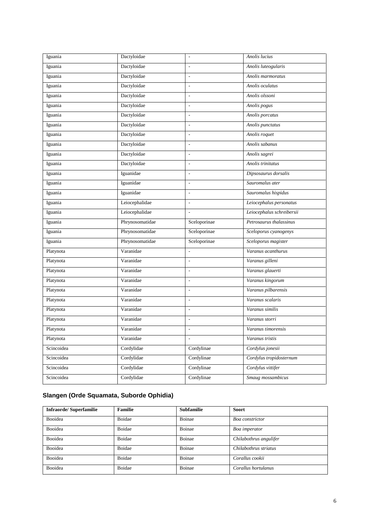| Iguania    | Dactyloidae     | $\overline{\phantom{a}}$ | Anolis lucius             |
|------------|-----------------|--------------------------|---------------------------|
| Iguania    | Dactyloidae     | $\overline{\phantom{a}}$ | Anolis luteogularis       |
| Iguania    | Dactyloidae     | $\overline{\phantom{a}}$ | Anolis marmoratus         |
| Iguania    | Dactyloidae     | $\blacksquare$           | Anolis oculatus           |
| Iguania    | Dactyloidae     | $\overline{\phantom{a}}$ | Anolis olssoni            |
| Iguania    | Dactyloidae     | $\overline{\phantom{a}}$ | Anolis pogus              |
| Iguania    | Dactyloidae     | $\blacksquare$           | Anolis porcatus           |
| Iguania    | Dactyloidae     | $\frac{1}{2}$            | Anolis punctatus          |
| Iguania    | Dactyloidae     | $\overline{a}$           | Anolis roquet             |
| Iguania    | Dactyloidae     | $\blacksquare$           | Anolis sabanus            |
| Iguania    | Dactyloidae     | $\overline{\phantom{a}}$ | Anolis sagrei             |
| Iguania    | Dactyloidae     | $\overline{\phantom{a}}$ | Anolis trinitatus         |
| Iguania    | Iguanidae       | $\overline{\phantom{a}}$ | Dipsosaurus dorsalis      |
| Iguania    | Iguanidae       | $\overline{\phantom{a}}$ | Sauromalus ater           |
| Iguania    | Iguanidae       | $\overline{\phantom{a}}$ | Sauromalus hispidus       |
| Iguania    | Leiocephalidae  | $\overline{\phantom{a}}$ | Leiocephalus personatus   |
| Iguania    | Leiocephalidae  | $\overline{a}$           | Leiocephalus schreibersii |
| Iguania    | Phrynosomatidae | Sceloporinae             | Petrosaurus thalassinus   |
| Iguania    | Phrynosomatidae | Sceloporinae             | Sceloporus cyanogenys     |
| Iguania    | Phrynosomatidae | Sceloporinae             | Sceloporus magister       |
| Platynota  | Varanidae       | $\overline{\phantom{a}}$ | Varanus acanthurus        |
| Platynota  | Varanidae       | $\blacksquare$           | Varanus gilleni           |
| Platynota  | Varanidae       | $\overline{\phantom{a}}$ | Varanus glauerti          |
| Platynota  | Varanidae       | $\overline{\phantom{a}}$ | Varanus kingorum          |
| Platynota  | Varanidae       | $\blacksquare$           | Varanus pilbarensis       |
| Platynota  | Varanidae       | $\overline{a}$           | Varanus scalaris          |
| Platynota  | Varanidae       | $\frac{1}{2}$            | Varanus similis           |
| Platynota  | Varanidae       | $\overline{\phantom{a}}$ | Varanus storri            |
| Platynota  | Varanidae       | $\frac{1}{2}$            | Varanus timorensis        |
| Platynota  | Varanidae       | $\blacksquare$           | Varanus tristis           |
| Scincoidea | Cordylidae      | Cordylinae               | Cordylus jonesii          |
| Scincoidea | Cordylidae      | Cordylinae               | Cordylus tropidosternum   |
| Scincoidea | Cordylidae      | Cordylinae               | Cordylus vittifer         |
| Scincoidea | Cordylidae      | Cordylinae               | Smaug mossambicus         |

## **Slangen (Orde Squamata, Suborde Ophidia)**

| <b>Infraorde/Superfamilie</b> | <b>Familie</b> | <b>Subfamilie</b> | <b>Soort</b>           |
|-------------------------------|----------------|-------------------|------------------------|
| Booidea                       | Boidae         | Boinae            | Boa constrictor        |
| Booidea                       | Boidae         | Boinae            | Boa imperator          |
| Booidea                       | Boidae         | Boinae            | Chilabothrus angulifer |
| <b>Booidea</b>                | Boidae         | Boinae            | Chilabothrus striatus  |
| Booidea                       | Boidae         | Boinae            | Corallus cookii        |
| Booidea                       | Boidae         | Boinae            | Corallus hortulanus    |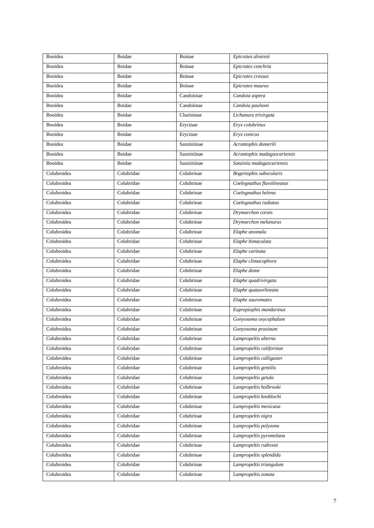| Booidea        | Boidae        | Boinae      | Epicrates alvarezi           |
|----------------|---------------|-------------|------------------------------|
| Booidea        | Boidae        | Boinae      | Epicrates cenchria           |
| Booidea        | <b>Boidae</b> | Boinae      | Epicrates crassus            |
| Booidea        | Boidae        | Boinae      | Epicrates maurus             |
| Booidea        | <b>Boidae</b> | Candoiinae  | Candoia aspera               |
| Booidea        | Boidae        | Candoiinae  | Candoia paulsoni             |
| Booidea        | <b>Boidae</b> | Charininae  | Lichanura trivirgata         |
| <b>Booidea</b> | <b>Boidae</b> | Erycinae    | Eryx colubrinus              |
| Booidea        | Boidae        | Erycinae    | Eryx conicus                 |
| Booidea        | <b>Boidae</b> | Sanziniinae | Acrantophis dumerili         |
| Booidea        | Boidae        | Sanziniinae | Acrantophis madagascariensis |
| Booidea        | Boidae        | Sanziniinae | Sanzinia madagascariensis    |
| Colubroidea    | Colubridae    | Colubrinae  | Bogertophis subocularis      |
| Colubroidea    | Colubridae    | Colubrinae  | Coelognathus flavolineatus   |
| Colubroidea    | Colubridae    | Colubrinae  | Coelognathus helena          |
| Colubroidea    | Colubridae    | Colubrinae  | Coelognathus radiatus        |
| Colubroidea    | Colubridae    | Colubrinae  | Drymarchon corais            |
| Colubroidea    | Colubridae    | Colubrinae  | Drymarchon melanurus         |
| Colubroidea    | Colubridae    | Colubrinae  | Elaphe anomala               |
| Colubroidea    | Colubridae    | Colubrinae  | Elaphe bimaculata            |
| Colubroidea    | Colubridae    | Colubrinae  | Elaphe carinata              |
| Colubroidea    | Colubridae    | Colubrinae  | Elaphe climacophora          |
| Colubroidea    | Colubridae    | Colubrinae  | Elaphe dione                 |
| Colubroidea    | Colubridae    | Colubrinae  | Elaphe quadrivirgata         |
| Colubroidea    | Colubridae    | Colubrinae  | Elaphe quatuorlineata        |
| Colubroidea    | Colubridae    | Colubrinae  | Elaphe sauromates            |
| Colubroidea    | Colubridae    | Colubrinae  | Euprepiophis mandarinus      |
| Colubroidea    | Colubridae    | Colubrinae  | Gonyosoma oxycephalum        |
| Colubroidea    | Colubridae    | Colubrinae  | Gonyosoma prasinum           |
| Colubroidea    | Colubridae    | Colubrinae  | Lampropeltis alterna         |
| Colubroidea    | Colubridae    | Colubrinae  | Lampropeltis californiae     |
| Colubroidea    | Colubridae    | Colubrinae  | Lampropeltis calligaster     |
| Colubroidea    | Colubridae    | Colubrinae  | Lampropeltis gentilis        |
| Colubroidea    | Colubridae    | Colubrinae  | Lampropeltis getula          |
| Colubroidea    | Colubridae    | Colubrinae  | Lampropeltis holbrooki       |
| Colubroidea    | Colubridae    | Colubrinae  | Lampropeltis knoblochi       |
| Colubroidea    | Colubridae    | Colubrinae  | Lampropeltis mexicana        |
| Colubroidea    | Colubridae    | Colubrinae  | Lampropeltis nigra           |
| Colubroidea    | Colubridae    | Colubrinae  | Lampropeltis polyzona        |
| Colubroidea    | Colubridae    | Colubrinae  | Lampropeltis pyromelana      |
| Colubroidea    | Colubridae    | Colubrinae  | Lampropeltis ruthveni        |
| Colubroidea    | Colubridae    | Colubrinae  | Lampropeltis splendida       |
| Colubroidea    | Colubridae    | Colubrinae  | Lampropeltis triangulum      |
| Colubroidea    | Colubridae    | Colubrinae  | Lampropeltis zonata          |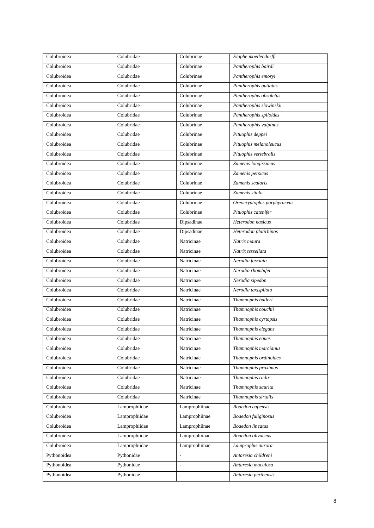| Colubroidea | Colubridae    | Colubrinae               | Elaphe moellendorffi        |
|-------------|---------------|--------------------------|-----------------------------|
| Colubroidea | Colubridae    | Colubrinae               | Pantherophis bairdi         |
| Colubroidea | Colubridae    | Colubrinae               | Pantherophis emoryi         |
| Colubroidea | Colubridae    | Colubrinae               | Pantherophis guttatus       |
| Colubroidea | Colubridae    | Colubrinae               | Pantherophis obsoletus      |
| Colubroidea | Colubridae    | Colubrinae               | Pantherophis slowinskii     |
| Colubroidea | Colubridae    | Colubrinae               | Pantherophis spiloides      |
| Colubroidea | Colubridae    | Colubrinae               | Pantherophis vulpinus       |
| Colubroidea | Colubridae    | Colubrinae               | Pituophis deppei            |
| Colubroidea | Colubridae    | Colubrinae               | Pituophis melanoleucus      |
| Colubroidea | Colubridae    | Colubrinae               | Pituophis vertebralis       |
| Colubroidea | Colubridae    | Colubrinae               | Zamenis longissimus         |
| Colubroidea | Colubridae    | Colubrinae               | Zamenis persicus            |
| Colubroidea | Colubridae    | Colubrinae               | Zamenis scalaris            |
| Colubroidea | Colubridae    | Colubrinae               | Zamenis situla              |
| Colubroidea | Colubridae    | Colubrinae               | Oreocryptophis porphyraceus |
| Colubroidea | Colubridae    | Colubrinae               | Pituophis catenifer         |
| Colubroidea | Colubridae    | Dipsadinae               | Heterodon nasicus           |
| Colubroidea | Colubridae    | Dipsadinae               | Heterodon platirhinos       |
| Colubroidea | Colubridae    | Natricinae               | Natrix maura                |
| Colubroidea | Colubridae    | Natricinae               | Natrix tessellata           |
| Colubroidea | Colubridae    | Natricinae               | Nerodia fasciata            |
| Colubroidea | Colubridae    | Natricinae               | Nerodia rhombifer           |
| Colubroidea | Colubridae    | Natricinae               | Nerodia sipedon             |
| Colubroidea | Colubridae    | Natricinae               | Nerodia taxispilota         |
| Colubroidea | Colubridae    | Natricinae               | Thamnophis butleri          |
| Colubroidea | Colubridae    | Natricinae               | Thamnophis couchii          |
| Colubroidea | Colubridae    | Natricinae               | Thamnophis cyrtopsis        |
| Colubroidea | Colubridae    | Natricinae               | Thamnophis elegans          |
| Colubroidea | Colubridae    | Natricinae               | Thamnophis eques            |
| Colubroidea | Colubridae    | Natricinae               | Thamnophis marcianus        |
| Colubroidea | Colubridae    | Natricinae               | Thamnophis ordinoides       |
| Colubroidea | Colubridae    | Natricinae               | Thamnophis proximus         |
| Colubroidea | Colubridae    | Natricinae               | Thamnophis radix            |
| Colubroidea | Colubridae    | Natricinae               | Thamnophis saurita          |
| Colubroidea | Colubridae    | Natricinae               | Thamnophis sirtalis         |
| Colubroidea | Lamprophiidae | Lamprophiinae            | Boaedon capensis            |
| Colubroidea | Lamprophiidae | Lamprophiinae            | <b>Boaedon</b> fuliginosus  |
| Colubroidea | Lamprophiidae | Lamprophiinae            | <b>Boaedon</b> lineatus     |
| Colubroidea | Lamprophiidae | Lamprophiinae            | Boaedon olivaceus           |
| Colubroidea | Lamprophiidae | Lamprophiinae            | Lamprophis aurora           |
| Pythonoidea | Pythonidae    | ÷.                       | Antaresia childreni         |
| Pythonoidea | Pythonidae    | $\overline{a}$           | Antaresia maculosa          |
| Pythonoidea | Pythonidae    | $\overline{\phantom{a}}$ | Antaresia perthensis        |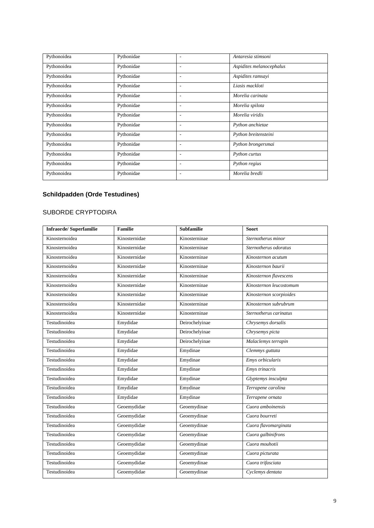| Pythonoidea | Pythonidae | ٠                        | Antaresia stimsoni       |
|-------------|------------|--------------------------|--------------------------|
| Pythonoidea | Pythonidae | ٠                        | Aspidites melanocephalus |
| Pythonoidea | Pythonidae | $\overline{\phantom{0}}$ | Aspidites ramsayi        |
| Pythonoidea | Pythonidae | ٠                        | Liasis mackloti          |
| Pythonoidea | Pythonidae | $\overline{\phantom{0}}$ | Morelia carinata         |
| Pythonoidea | Pythonidae | ٠                        | Morelia spilota          |
| Pythonoidea | Pythonidae | -                        | Morelia viridis          |
| Pythonoidea | Pythonidae | ٠                        | Python anchietae         |
| Pythonoidea | Pythonidae | $\overline{\phantom{0}}$ | Python breitensteini     |
| Pythonoidea | Pythonidae | $\overline{\phantom{0}}$ | Python brongersmai       |
| Pythonoidea | Pythonidae | $\overline{\phantom{0}}$ | Python curtus            |
| Pythonoidea | Pythonidae | -                        | Python regius            |
| Pythonoidea | Pythonidae |                          | Morelia bredli           |

### **Schildpadden (Orde Testudines)**

#### SUBORDE CRYPTODIRA

| <b>Infraorde/Superfamilie</b> | <b>Familie</b> | <b>Subfamilie</b> | <b>Soort</b>            |
|-------------------------------|----------------|-------------------|-------------------------|
| Kinosternoidea                | Kinosternidae  | Kinosterninae     | Sternotherus minor      |
| Kinosternoidea                | Kinosternidae  | Kinosterninae     | Sternotherus odoratus   |
| Kinosternoidea                | Kinosternidae  | Kinosterninae     | Kinosternon acutum      |
| Kinosternoidea                | Kinosternidae  | Kinosterninae     | Kinosternon baurii      |
| Kinosternoidea                | Kinosternidae  | Kinosterninae     | Kinosternon flavescens  |
| Kinosternoidea                | Kinosternidae  | Kinosterninae     | Kinosternon leucostomum |
| Kinosternoidea                | Kinosternidae  | Kinosterninae     | Kinosternon scorpioides |
| Kinosternoidea                | Kinosternidae  | Kinosterninae     | Kinosternon subrubrum   |
| Kinosternoidea                | Kinosternidae  | Kinosterninae     | Sternotherus carinatus  |
| Testudinoidea                 | Emydidae       | Deirochelyinae    | Chrysemys dorsalis      |
| Testudinoidea                 | Emydidae       | Deirochelyinae    | Chrysemys picta         |
| Testudinoidea                 | Emydidae       | Deirochelyinae    | Malaclemys terrapin     |
| Testudinoidea                 | Emydidae       | Emydinae          | Clemmys guttata         |
| Testudinoidea                 | Emydidae       | Emydinae          | Emys orbicularis        |
| Testudinoidea                 | Emydidae       | Emydinae          | Emys trinacris          |
| Testudinoidea                 | Emydidae       | Emydinae          | Glyptemys insculpta     |
| Testudinoidea                 | Emydidae       | Emydinae          | Terrapene carolina      |
| Testudinoidea                 | Emydidae       | Emydinae          | Terrapene ornata        |
| Testudinoidea                 | Geoemydidae    | Geoemydinae       | Cuora amboinensis       |
| Testudinoidea                 | Geoemydidae    | Geoemydinae       | Cuora bourreti          |
| Testudinoidea                 | Geoemydidae    | Geoemydinae       | Cuora flavomarginata    |
| Testudinoidea                 | Geoemydidae    | Geoemydinae       | Cuora galbinifrons      |
| Testudinoidea                 | Geoemydidae    | Geoemydinae       | Cuora mouhotii          |
| Testudinoidea                 | Geoemydidae    | Geoemydinae       | Cuora picturata         |
| Testudinoidea                 | Geoemydidae    | Geoemydinae       | Cuora trifasciata       |
| Testudinoidea                 | Geoemydidae    | Geoemydinae       | Cyclemys dentata        |